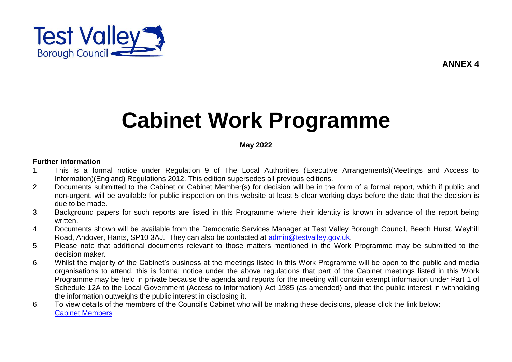

# **Cabinet Work Programme**

### **May 2022**

#### **Further information**

- 1. This is a formal notice under Regulation 9 of The Local Authorities (Executive Arrangements)(Meetings and Access to Information)(England) Regulations 2012. This edition supersedes all previous editions.
- 2. Documents submitted to the Cabinet or Cabinet Member(s) for decision will be in the form of a formal report, which if public and non-urgent, will be available for public inspection on this website at least 5 clear working days before the date that the decision is due to be made.
- 3. Background papers for such reports are listed in this Programme where their identity is known in advance of the report being written.
- 4. Documents shown will be available from the Democratic Services Manager at Test Valley Borough Council, Beech Hurst, Weyhill Road, Andover, Hants, SP10 3AJ. They can also be contacted at [admin@testvalley.gov.uk.](mailto:admin@testvalley.gov.uk)
- 5. Please note that additional documents relevant to those matters mentioned in the Work Programme may be submitted to the decision maker.
- 6. Whilst the majority of the Cabinet's business at the meetings listed in this Work Programme will be open to the public and media organisations to attend, this is formal notice under the above regulations that part of the Cabinet meetings listed in this Work Programme may be held in private because the agenda and reports for the meeting will contain exempt information under Part 1 of Schedule 12A to the Local Government (Access to Information) Act 1985 (as amended) and that the public interest in withholding the information outweighs the public interest in disclosing it.
- 6. To view details of the members of the Council's Cabinet who will be making these decisions, please click the link below: [Cabinet Members](http://www.testvalley.gov.uk/aboutyourcouncil/councilcabinetandcommitteemeetings/portfolioholders/)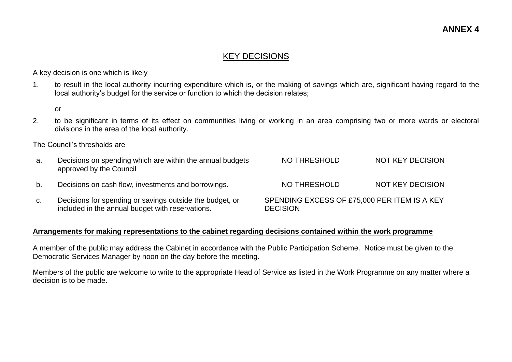## KEY DECISIONS

A key decision is one which is likely

1. to result in the local authority incurring expenditure which is, or the making of savings which are, significant having regard to the local authority's budget for the service or function to which the decision relates;

or

2. to be significant in terms of its effect on communities living or working in an area comprising two or more wards or electoral divisions in the area of the local authority.

The Council's thresholds are

| а. | Decisions on spending which are within the annual budgets<br>approved by the Council                         | NO THRESHOLD                                                    | <b>NOT KEY DECISION</b> |
|----|--------------------------------------------------------------------------------------------------------------|-----------------------------------------------------------------|-------------------------|
| b. | Decisions on cash flow, investments and borrowings.                                                          | NO THRESHOLD                                                    | NOT KEY DECISION        |
| C. | Decisions for spending or savings outside the budget, or<br>included in the annual budget with reservations. | SPENDING EXCESS OF £75,000 PER ITEM IS A KEY<br><b>DECISION</b> |                         |

#### **Arrangements for making representations to the cabinet regarding decisions contained within the work programme**

A member of the public may address the Cabinet in accordance with the Public Participation Scheme. Notice must be given to the Democratic Services Manager by noon on the day before the meeting.

Members of the public are welcome to write to the appropriate Head of Service as listed in the Work Programme on any matter where a decision is to be made.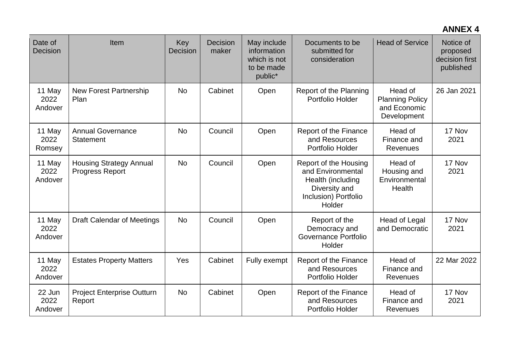## **ANNEX 4**

| Date of<br>Decision       | Item                                                     | Key<br>Decision | Decision<br>maker | May include<br>information<br>which is not<br>to be made<br>public* | Documents to be<br>submitted for<br>consideration                                                                  | <b>Head of Service</b>                                           | Notice of<br>proposed<br>decision first<br>published |
|---------------------------|----------------------------------------------------------|-----------------|-------------------|---------------------------------------------------------------------|--------------------------------------------------------------------------------------------------------------------|------------------------------------------------------------------|------------------------------------------------------|
| 11 May<br>2022<br>Andover | <b>New Forest Partnership</b><br>Plan                    | <b>No</b>       | Cabinet           | Open                                                                | Report of the Planning<br>Portfolio Holder                                                                         | Head of<br><b>Planning Policy</b><br>and Economic<br>Development | 26 Jan 2021                                          |
| 11 May<br>2022<br>Romsey  | <b>Annual Governance</b><br><b>Statement</b>             | <b>No</b>       | Council           | Open                                                                | Report of the Finance<br>and Resources<br>Portfolio Holder                                                         | Head of<br>Finance and<br><b>Revenues</b>                        | 17 Nov<br>2021                                       |
| 11 May<br>2022<br>Andover | <b>Housing Strategy Annual</b><br><b>Progress Report</b> | <b>No</b>       | Council           | Open                                                                | Report of the Housing<br>and Environmental<br>Health (including<br>Diversity and<br>Inclusion) Portfolio<br>Holder | Head of<br>Housing and<br>Environmental<br>Health                | 17 Nov<br>2021                                       |
| 11 May<br>2022<br>Andover | <b>Draft Calendar of Meetings</b>                        | <b>No</b>       | Council           | Open                                                                | Report of the<br>Democracy and<br>Governance Portfolio<br>Holder                                                   | <b>Head of Legal</b><br>and Democratic                           | 17 Nov<br>2021                                       |
| 11 May<br>2022<br>Andover | <b>Estates Property Matters</b>                          | Yes             | Cabinet           | Fully exempt                                                        | Report of the Finance<br>and Resources<br>Portfolio Holder                                                         | Head of<br>Finance and<br><b>Revenues</b>                        | 22 Mar 2022                                          |
| 22 Jun<br>2022<br>Andover | <b>Project Enterprise Outturn</b><br>Report              | <b>No</b>       | Cabinet           | Open                                                                | Report of the Finance<br>and Resources<br>Portfolio Holder                                                         | Head of<br>Finance and<br>Revenues                               | 17 Nov<br>2021                                       |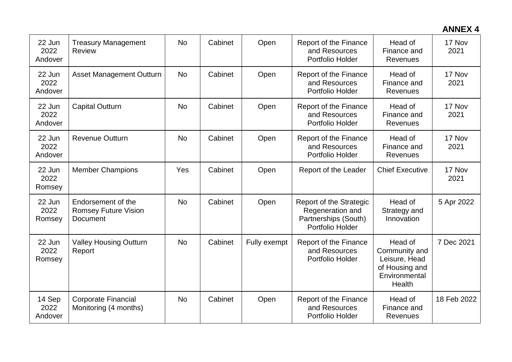# **ANNEX 4**

| 22 Jun<br>2022<br>Andover | <b>Treasury Management</b><br>Review                          | <b>No</b> | Cabinet | Open         | Report of the Finance<br>and Resources<br>Portfolio Holder                              | Head of<br>Finance and<br><b>Revenues</b>                                              | 17 Nov<br>2021 |
|---------------------------|---------------------------------------------------------------|-----------|---------|--------------|-----------------------------------------------------------------------------------------|----------------------------------------------------------------------------------------|----------------|
| 22 Jun<br>2022<br>Andover | <b>Asset Management Outturn</b>                               | <b>No</b> | Cabinet | Open         | Report of the Finance<br>and Resources<br>Portfolio Holder                              | Head of<br>Finance and<br><b>Revenues</b>                                              | 17 Nov<br>2021 |
| 22 Jun<br>2022<br>Andover | <b>Capital Outturn</b>                                        | <b>No</b> | Cabinet | Open         | Report of the Finance<br>and Resources<br>Portfolio Holder                              | Head of<br>Finance and<br><b>Revenues</b>                                              | 17 Nov<br>2021 |
| 22 Jun<br>2022<br>Andover | <b>Revenue Outturn</b>                                        | <b>No</b> | Cabinet | Open         | Report of the Finance<br>and Resources<br>Portfolio Holder                              | Head of<br>Finance and<br><b>Revenues</b>                                              | 17 Nov<br>2021 |
| 22 Jun<br>2022<br>Romsey  | <b>Member Champions</b>                                       | Yes       | Cabinet | Open         | Report of the Leader                                                                    | <b>Chief Executive</b>                                                                 | 17 Nov<br>2021 |
| 22 Jun<br>2022<br>Romsey  | Endorsement of the<br><b>Romsey Future Vision</b><br>Document | <b>No</b> | Cabinet | Open         | Report of the Strategic<br>Regeneration and<br>Partnerships (South)<br>Portfolio Holder | Head of<br>Strategy and<br>Innovation                                                  | 5 Apr 2022     |
| 22 Jun<br>2022<br>Romsey  | <b>Valley Housing Outturn</b><br>Report                       | <b>No</b> | Cabinet | Fully exempt | Report of the Finance<br>and Resources<br>Portfolio Holder                              | Head of<br>Community and<br>Leisure, Head<br>of Housing and<br>Environmental<br>Health | 7 Dec 2021     |
| 14 Sep<br>2022<br>Andover | <b>Corporate Financial</b><br>Monitoring (4 months)           | <b>No</b> | Cabinet | Open         | Report of the Finance<br>and Resources<br>Portfolio Holder                              | Head of<br>Finance and<br>Revenues                                                     | 18 Feb 2022    |